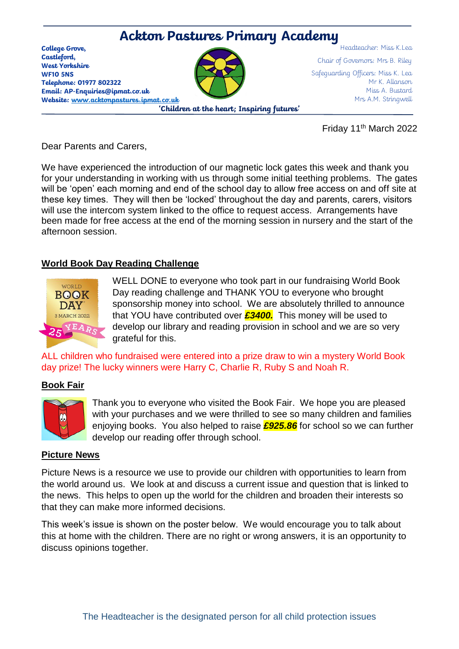

Friday 11th March 2022

Dear Parents and Carers,

We have experienced the introduction of our magnetic lock gates this week and thank you for your understanding in working with us through some initial teething problems. The gates will be 'open' each morning and end of the school day to allow free access on and off site at these key times. They will then be 'locked' throughout the day and parents, carers, visitors will use the intercom system linked to the office to request access. Arrangements have been made for free access at the end of the morning session in nursery and the start of the afternoon session.

### **World Book Day Reading Challenge**



WELL DONE to everyone who took part in our fundraising World Book Day reading challenge and THANK YOU to everyone who brought sponsorship money into school. We are absolutely thrilled to announce that YOU have contributed over *£3400.* This money will be used to develop our library and reading provision in school and we are so very grateful for this.

ALL children who fundraised were entered into a prize draw to win a mystery World Book day prize! The lucky winners were Harry C, Charlie R, Ruby S and Noah R.

#### **Book Fair**



Thank you to everyone who visited the Book Fair. We hope you are pleased with your purchases and we were thrilled to see so many children and families enjoying books. You also helped to raise *£925.86* for school so we can further develop our reading offer through school.

#### **Picture News**

Picture News is a resource we use to provide our children with opportunities to learn from the world around us. We look at and discuss a current issue and question that is linked to the news. This helps to open up the world for the children and broaden their interests so that they can make more informed decisions.

This week's issue is shown on the poster below. We would encourage you to talk about this at home with the children. There are no right or wrong answers, it is an opportunity to discuss opinions together.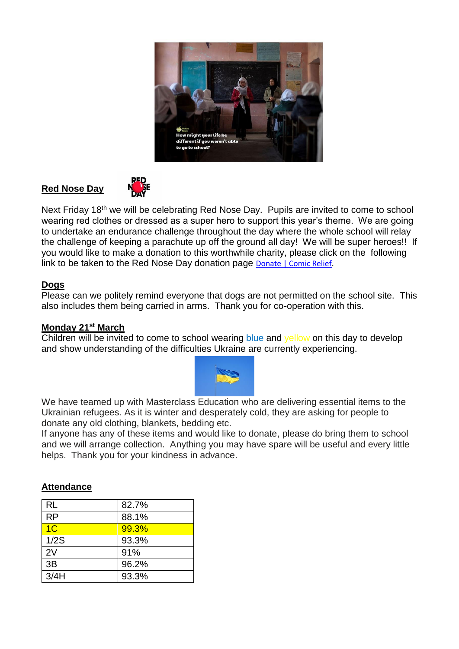

## **Red Nose Day**



Next Friday 18<sup>th</sup> we will be celebrating Red Nose Day. Pupils are invited to come to school wearing red clothes or dressed as a super hero to support this year's theme. We are going to undertake an endurance challenge throughout the day where the whole school will relay the challenge of keeping a parachute up off the ground all day! We will be super heroes!! If you would like to make a donation to this worthwhile charity, please click on the following link to be taken to the Red Nose Day donation page **[Donate | Comic Relief.](https://donation.comicrelief.com/cart/1YsYOwm2pHZgBUhWr8ZL13)** 

#### **Dogs**

Please can we politely remind everyone that dogs are not permitted on the school site. This also includes them being carried in arms. Thank you for co-operation with this.

#### **Monday 21st March**

Children will be invited to come to school wearing blue and yellow on this day to develop and show understanding of the difficulties Ukraine are currently experiencing.



We have teamed up with Masterclass Education who are delivering essential items to the Ukrainian refugees. As it is winter and desperately cold, they are asking for people to donate any old clothing, blankets, bedding etc.

If anyone has any of these items and would like to donate, please do bring them to school and we will arrange collection. Anything you may have spare will be useful and every little helps. Thank you for your kindness in advance.

#### **Attendance**

| <b>RL</b>      | 82.7% |
|----------------|-------|
| <b>RP</b>      | 88.1% |
| 1 <sub>C</sub> | 99.3% |
| 1/2S           | 93.3% |
| 2V             | 91%   |
| 3B             | 96.2% |
| 3/4H           | 93.3% |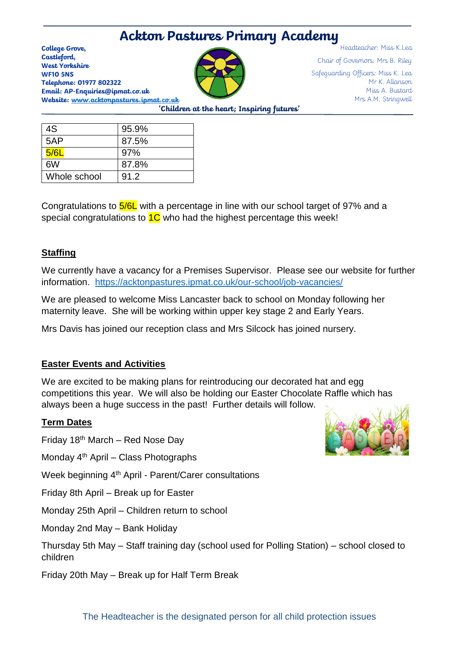# **Ackton Pastures Primary Academy**

**College Grove, Castleford, West Yorkshire WF10 5NS Telephone: 01977 802322 Email: AP-Enquiries@ipmat.co.uk Website: [www.acktonpastures.ipmat.co.uk](http://www.acktonpastures.ipmat.co.uk/)**

Headteacher: Miss K.Lea Chair of Governors: Mrs B. Riley Safeguarding Officers: Miss K. Lea Mr K. Allanson Miss A. Bustard Mrs A.M. Stringwell

**'Children at the heart; Inspiring futures'**

| 4S           | 95.9% |
|--------------|-------|
| 5AP          | 87.5% |
| 5/6L         | 97%   |
| 6W           | 87.8% |
| Whole school | 91.2  |

Congratulations to 5/6L with a percentage in line with our school target of 97% and a special congratulations to  $10$  who had the highest percentage this week!

## **Staffing**

We currently have a vacancy for a Premises Supervisor. Please see our website for further information. <https://acktonpastures.ipmat.co.uk/our-school/job-vacancies/>

We are pleased to welcome Miss Lancaster back to school on Monday following her maternity leave. She will be working within upper key stage 2 and Early Years.

Mrs Davis has joined our reception class and Mrs Silcock has joined nursery.

## **Easter Events and Activities**

We are excited to be making plans for reintroducing our decorated hat and egg competitions this year. We will also be holding our Easter Chocolate Raffle which has always been a huge success in the past! Further details will follow.

## **Term Dates**

Friday 18th March – Red Nose Day

Monday 4<sup>th</sup> April – Class Photographs

Week beginning 4<sup>th</sup> April - Parent/Carer consultations

Friday 8th April – Break up for Easter

Monday 25th April – Children return to school

Monday 2nd May – Bank Holiday

Thursday 5th May – Staff training day (school used for Polling Station) – school closed to children

Friday 20th May – Break up for Half Term Break